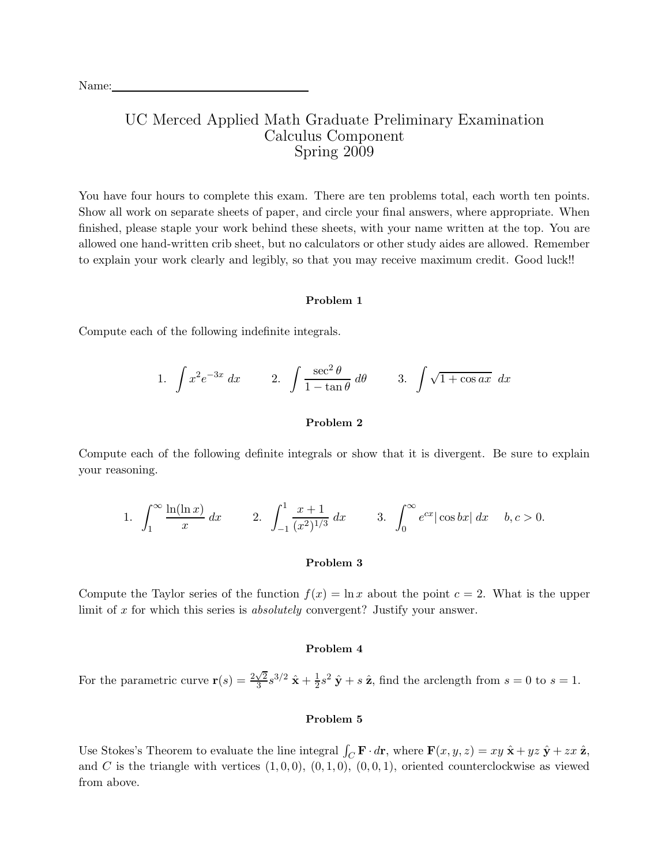# UC Merced Applied Math Graduate Preliminary Examination Calculus Component Spring 2009

You have four hours to complete this exam. There are ten problems total, each worth ten points. Show all work on separate sheets of paper, and circle your final answers, where appropriate. When finished, please staple your work behind these sheets, with your name written at the top. You are allowed one hand-written crib sheet, but no calculators or other study aides are allowed. Remember to explain your work clearly and legibly, so that you may receive maximum credit. Good luck!!

# Problem 1

Compute each of the following indefinite integrals.

1. 
$$
\int x^2 e^{-3x} dx
$$
 2.  $\int \frac{\sec^2 \theta}{1 - \tan \theta} d\theta$  3.  $\int \sqrt{1 + \cos ax} dx$ 

# Problem 2

Compute each of the following definite integrals or show that it is divergent. Be sure to explain your reasoning.

1. 
$$
\int_{1}^{\infty} \frac{\ln(\ln x)}{x} dx
$$
 2.  $\int_{-1}^{1} \frac{x+1}{(x^2)^{1/3}} dx$  3.  $\int_{0}^{\infty} e^{cx} |\cos bx| dx$   $b, c > 0$ .

#### Problem 3

Compute the Taylor series of the function  $f(x) = \ln x$  about the point  $c = 2$ . What is the upper limit of x for which this series is *absolutely* convergent? Justify your answer.

## Problem 4

For the parametric curve  $\mathbf{r}(s) = \frac{2\sqrt{2}}{3}$  $\frac{\sqrt{2}}{3}s^{3/2} \ \hat{\mathbf{x}} + \frac{1}{2}$  $\frac{1}{2}s^2 \hat{\mathbf{y}} + s \hat{\mathbf{z}}$ , find the arclength from  $s = 0$  to  $s = 1$ .

## Problem 5

Use Stokes's Theorem to evaluate the line integral  $\int_C \mathbf{F} \cdot d\mathbf{r}$ , where  $\mathbf{F}(x, y, z) = xy \hat{\mathbf{x}} + yz \hat{\mathbf{y}} + zx \hat{\mathbf{z}}$ , and C is the triangle with vertices  $(1, 0, 0), (0, 1, 0), (0, 0, 1),$  oriented counterclockwise as viewed from above.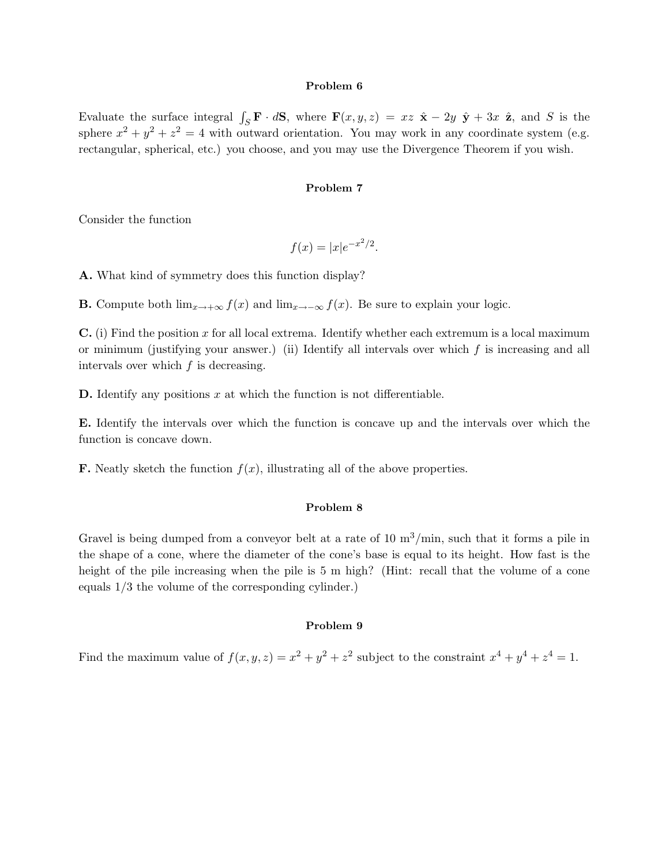#### Problem 6

Evaluate the surface integral  $\int_S \mathbf{F} \cdot d\mathbf{S}$ , where  $\mathbf{F}(x, y, z) = xz \hat{\mathbf{x}} - 2y \hat{\mathbf{y}} + 3x \hat{\mathbf{z}}$ , and S is the sphere  $x^2 + y^2 + z^2 = 4$  with outward orientation. You may work in any coordinate system (e.g. rectangular, spherical, etc.) you choose, and you may use the Divergence Theorem if you wish.

#### Problem 7

Consider the function

$$
f(x) = |x|e^{-x^2/2}.
$$

A. What kind of symmetry does this function display?

**B.** Compute both  $\lim_{x\to+\infty} f(x)$  and  $\lim_{x\to-\infty} f(x)$ . Be sure to explain your logic.

 $\bf{C}$ . (i) Find the position x for all local extrema. Identify whether each extremum is a local maximum or minimum (justifying your answer.) (ii) Identify all intervals over which  $f$  is increasing and all intervals over which  $f$  is decreasing.

**D.** Identify any positions  $x$  at which the function is not differentiable.

E. Identify the intervals over which the function is concave up and the intervals over which the function is concave down.

**F.** Neatly sketch the function  $f(x)$ , illustrating all of the above properties.

### Problem 8

Gravel is being dumped from a conveyor belt at a rate of  $10 \text{ m}^3/\text{min}$ , such that it forms a pile in the shape of a cone, where the diameter of the cone's base is equal to its height. How fast is the height of the pile increasing when the pile is 5 m high? (Hint: recall that the volume of a cone equals 1/3 the volume of the corresponding cylinder.)

# Problem 9

Find the maximum value of  $f(x, y, z) = x^2 + y^2 + z^2$  subject to the constraint  $x^4 + y^4 + z^4 = 1$ .